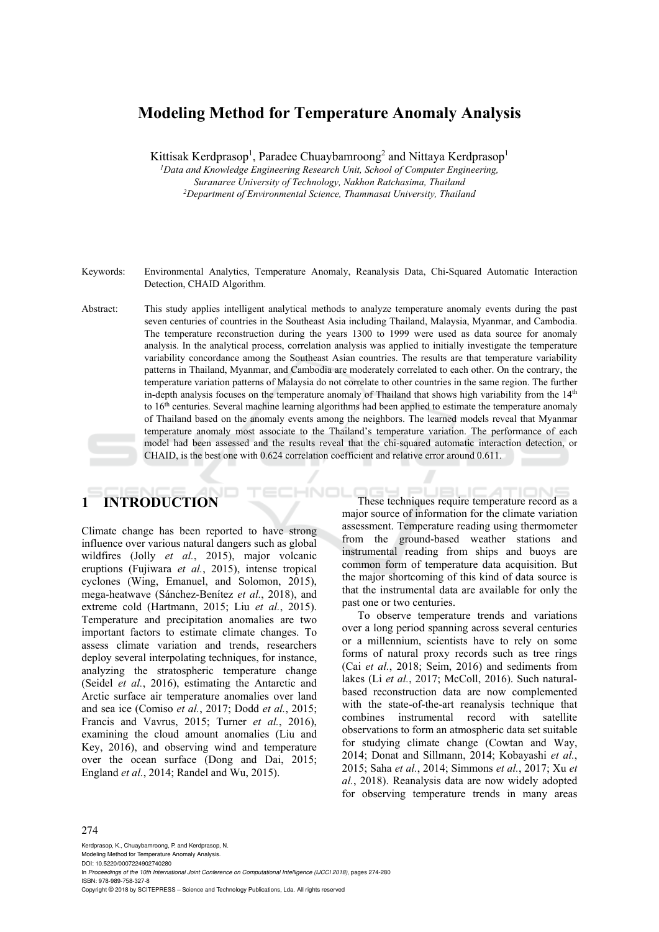# **Modeling Method for Temperature Anomaly Analysis**

Kittisak Kerdprasop<sup>1</sup>, Paradee Chuaybamroong<sup>2</sup> and Nittaya Kerdprasop<sup>1</sup>

<sup>1</sup> Data and Knowledge Engineering Research Unit, School of Computer Engineering, *Suranaree University of Technology, Nakhon Ratchasima, Thailand 2 Department of Environmental Science, Thammasat University, Thailand* 

- Keywords: Environmental Analytics, Temperature Anomaly, Reanalysis Data, Chi-Squared Automatic Interaction Detection, CHAID Algorithm.
- Abstract: This study applies intelligent analytical methods to analyze temperature anomaly events during the past seven centuries of countries in the Southeast Asia including Thailand, Malaysia, Myanmar, and Cambodia. The temperature reconstruction during the years 1300 to 1999 were used as data source for anomaly analysis. In the analytical process, correlation analysis was applied to initially investigate the temperature variability concordance among the Southeast Asian countries. The results are that temperature variability patterns in Thailand, Myanmar, and Cambodia are moderately correlated to each other. On the contrary, the temperature variation patterns of Malaysia do not correlate to other countries in the same region. The further in-depth analysis focuses on the temperature anomaly of Thailand that shows high variability from the  $14<sup>th</sup>$ to 16th centuries. Several machine learning algorithms had been applied to estimate the temperature anomaly of Thailand based on the anomaly events among the neighbors. The learned models reveal that Myanmar temperature anomaly most associate to the Thailand's temperature variation. The performance of each model had been assessed and the results reveal that the chi-squared automatic interaction detection, or CHAID, is the best one with 0.624 correlation coefficient and relative error around 0.611.

# **1 INTRODUCTION**

Climate change has been reported to have strong influence over various natural dangers such as global wildfires (Jolly *et al.*, 2015), major volcanic eruptions (Fujiwara *et al.*, 2015), intense tropical cyclones (Wing, Emanuel, and Solomon, 2015), mega-heatwave (Sánchez-Benítez *et al.*, 2018), and extreme cold (Hartmann, 2015; Liu *et al.*, 2015). Temperature and precipitation anomalies are two important factors to estimate climate changes. To assess climate variation and trends, researchers deploy several interpolating techniques, for instance, analyzing the stratospheric temperature change (Seidel *et al.*, 2016), estimating the Antarctic and Arctic surface air temperature anomalies over land and sea ice (Comiso *et al.*, 2017; Dodd *et al.*, 2015; Francis and Vavrus, 2015; Turner *et al.*, 2016), examining the cloud amount anomalies (Liu and Key, 2016), and observing wind and temperature over the ocean surface (Dong and Dai, 2015; England *et al.*, 2014; Randel and Wu, 2015).

HNOI These techniques require temperature record as a major source of information for the climate variation assessment. Temperature reading using thermometer from the ground-based weather stations and instrumental reading from ships and buoys are common form of temperature data acquisition. But the major shortcoming of this kind of data source is that the instrumental data are available for only the past one or two centuries.

> To observe temperature trends and variations over a long period spanning across several centuries or a millennium, scientists have to rely on some forms of natural proxy records such as tree rings (Cai *et al.*, 2018; Seim, 2016) and sediments from lakes (Li *et al.*, 2017; McColl, 2016). Such naturalbased reconstruction data are now complemented with the state-of-the-art reanalysis technique that combines instrumental record with satellite observations to form an atmospheric data set suitable for studying climate change (Cowtan and Way, 2014; Donat and Sillmann, 2014; Kobayashi *et al.*, 2015; Saha *et al.*, 2014; Simmons *et al.*, 2017; Xu *et al.*, 2018). Reanalysis data are now widely adopted for observing temperature trends in many areas

#### 274

Kerdprasop, K., Chuaybamroong, P. and Kerdprasop, N. Modeling Method for Temperature Anomaly Analysis. DOI: 10.5220/0007224902740280 In *Proceedings of the 10th International Joint Conference on Computational Intelligence (IJCCI 2018)*, pages 274-280 ISBN: 978-989-758-327-8 Copyright © 2018 by SCITEPRESS – Science and Technology Publications, Lda. All rights reserved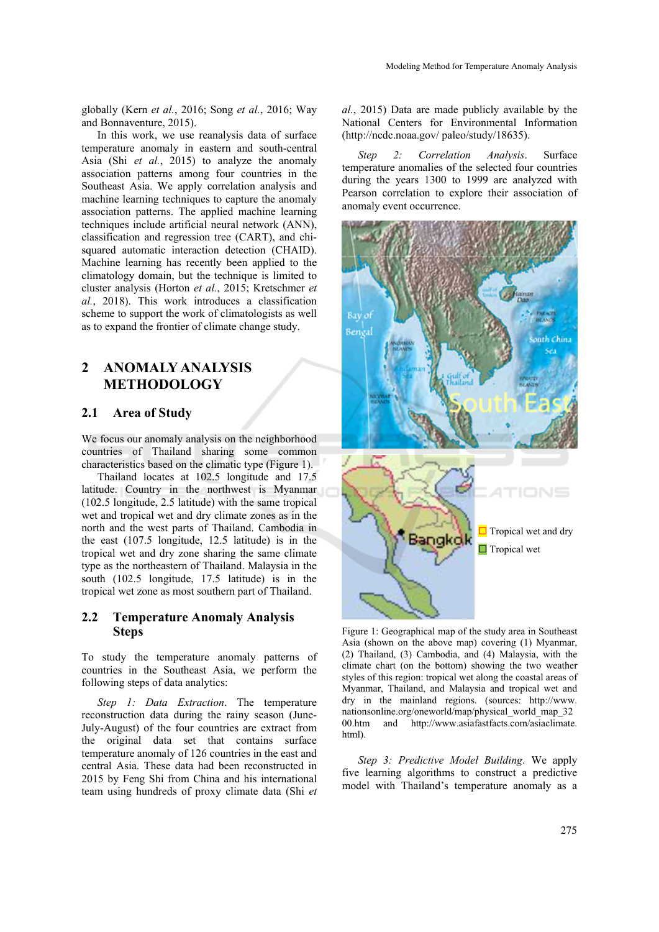globally (Kern *et al.*, 2016; Song *et al.*, 2016; Way and Bonnaventure, 2015).

In this work, we use reanalysis data of surface temperature anomaly in eastern and south-central Asia (Shi *et al.*, 2015) to analyze the anomaly association patterns among four countries in the Southeast Asia. We apply correlation analysis and machine learning techniques to capture the anomaly association patterns. The applied machine learning techniques include artificial neural network (ANN), classification and regression tree (CART), and chisquared automatic interaction detection (CHAID). Machine learning has recently been applied to the climatology domain, but the technique is limited to cluster analysis (Horton *et al.*, 2015; Kretschmer *et al.*, 2018). This work introduces a classification scheme to support the work of climatologists as well as to expand the frontier of climate change study.

# **2 ANOMALY ANALYSIS METHODOLOGY**

#### **2.1 Area of Study**

We focus our anomaly analysis on the neighborhood countries of Thailand sharing some common characteristics based on the climatic type (Figure 1).

Thailand locates at 102.5 longitude and 17.5 latitude. Country in the northwest is Myanmar (102.5 longitude, 2.5 latitude) with the same tropical wet and tropical wet and dry climate zones as in the north and the west parts of Thailand. Cambodia in the east (107.5 longitude, 12.5 latitude) is in the tropical wet and dry zone sharing the same climate type as the northeastern of Thailand. Malaysia in the south (102.5 longitude, 17.5 latitude) is in the tropical wet zone as most southern part of Thailand.

## **2.2 Temperature Anomaly Analysis Steps**

To study the temperature anomaly patterns of countries in the Southeast Asia, we perform the following steps of data analytics:

*Step 1: Data Extraction*. The temperature reconstruction data during the rainy season (June-July-August) of the four countries are extract from the original data set that contains surface temperature anomaly of 126 countries in the east and central Asia. These data had been reconstructed in 2015 by Feng Shi from China and his international team using hundreds of proxy climate data (Shi *et*  *al.*, 2015) Data are made publicly available by the National Centers for Environmental Information (http://ncdc.noaa.gov/ paleo/study/18635).

*Step 2: Correlation Analysis*. Surface temperature anomalies of the selected four countries during the years 1300 to 1999 are analyzed with Pearson correlation to explore their association of anomaly event occurrence.



Figure 1: Geographical map of the study area in Southeast Asia (shown on the above map) covering (1) Myanmar, (2) Thailand, (3) Cambodia, and (4) Malaysia, with the climate chart (on the bottom) showing the two weather styles of this region: tropical wet along the coastal areas of Myanmar, Thailand, and Malaysia and tropical wet and dry in the mainland regions. (sources: http://www. nationsonline.org/oneworld/map/physical\_world\_map\_32 00.htm and http://www.asiafastfacts.com/asiaclimate. html).

*Step 3: Predictive Model Building*. We apply five learning algorithms to construct a predictive model with Thailand's temperature anomaly as a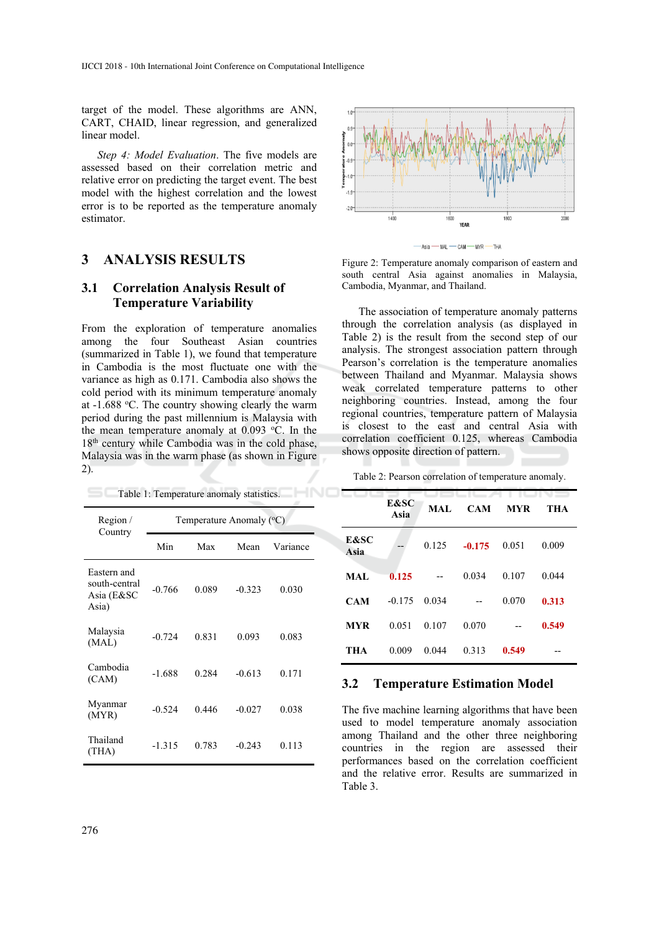target of the model. These algorithms are ANN, CART, CHAID, linear regression, and generalized linear model.

*Step 4: Model Evaluation*. The five models are assessed based on their correlation metric and relative error on predicting the target event. The best model with the highest correlation and the lowest error is to be reported as the temperature anomaly estimator.

# **3 ANALYSIS RESULTS**

### **3.1 Correlation Analysis Result of Temperature Variability**

From the exploration of temperature anomalies among the four Southeast Asian countries (summarized in Table 1), we found that temperature in Cambodia is the most fluctuate one with the variance as high as 0.171. Cambodia also shows the cold period with its minimum temperature anomaly at -1.688 °C. The country showing clearly the warm period during the past millennium is Malaysia with the mean temperature anomaly at  $0.093$  °C. In the 18<sup>th</sup> century while Cambodia was in the cold phase, Malaysia was in the warm phase (as shown in Figure 2).

Table 1: Temperature anomaly statistics.

| Region $\overline{\ }$<br>Country                   | Temperature Anomaly (°C) |       |          |          |  |
|-----------------------------------------------------|--------------------------|-------|----------|----------|--|
|                                                     | Min                      | Max   | Mean     | Variance |  |
| Eastern and<br>south-central<br>Asia (E&SC<br>Asia) | $-0.766$                 | 0.089 | $-0.323$ | 0.030    |  |
| Malaysia<br>(MAL)                                   | $-0.724$                 | 0.831 | 0.093    | 0.083    |  |
| Cambodia<br>(CAM)                                   | $-1.688$                 | 0.284 | $-0.613$ | 0.171    |  |
| Myanmar<br>(MYR)                                    | $-0.524$                 | 0.446 | $-0.027$ | 0.038    |  |
| Thailand<br>(THA)                                   | $-1.315$                 | 0.783 | $-0.243$ | 0.113    |  |



Figure 2: Temperature anomaly comparison of eastern and south central Asia against anomalies in Malaysia, Cambodia, Myanmar, and Thailand.

The association of temperature anomaly patterns through the correlation analysis (as displayed in Table 2) is the result from the second step of our analysis. The strongest association pattern through Pearson's correlation is the temperature anomalies between Thailand and Myanmar. Malaysia shows weak correlated temperature patterns to other neighboring countries. Instead, among the four regional countries, temperature pattern of Malaysia is closest to the east and central Asia with correlation coefficient 0.125, whereas Cambodia shows opposite direction of pattern.

Table 2: Pearson correlation of temperature anomaly.

|              | <b>E&amp;SC</b><br>Asia | <b>MAL</b> | <b>CAM</b> | <b>MYR</b> | THA   |
|--------------|-------------------------|------------|------------|------------|-------|
| E&SC<br>Asia |                         | 0.125      | $-0.175$   | 0.051      | 0.009 |
| MAL          | 0.125                   |            | 0.034      | 0.107      | 0.044 |
| <b>CAM</b>   | $-0.175$                | 0.034      |            | 0.070      | 0.313 |
| MYR          | 0.051                   | 0.107      | 0.070      |            | 0.549 |
| THA          | 0.009                   | 0.044      | 0.313      | 0.549      |       |

#### **3.2 Temperature Estimation Model**

The five machine learning algorithms that have been used to model temperature anomaly association among Thailand and the other three neighboring countries in the region are assessed their performances based on the correlation coefficient and the relative error. Results are summarized in Table 3.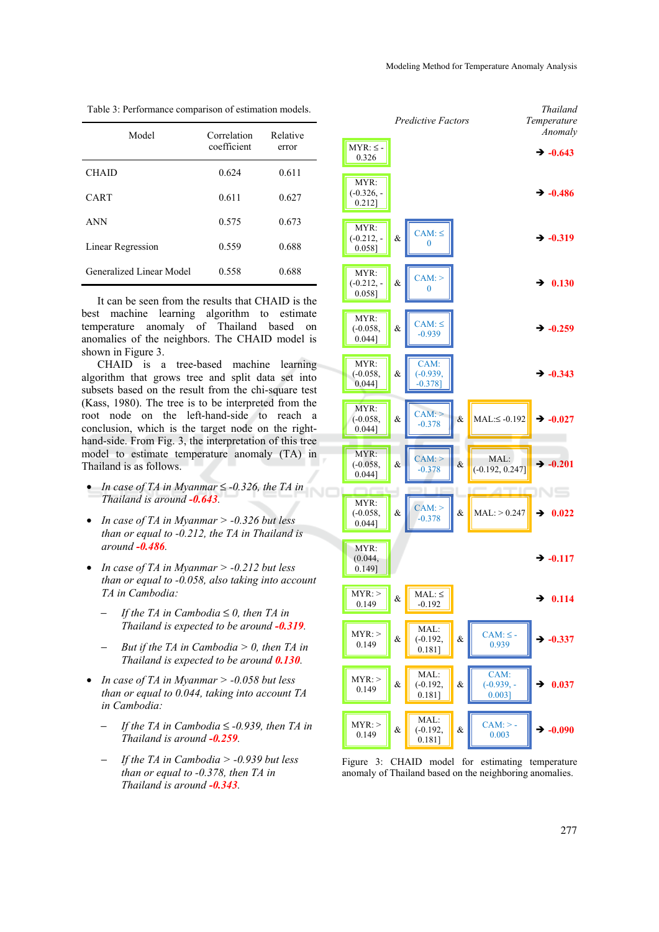| Model                    | Correlation<br>coefficient | Relative<br>error |
|--------------------------|----------------------------|-------------------|
| <b>CHAID</b>             | 0.624                      | 0.611             |
| <b>CART</b>              | 0.611                      | 0.627             |
| <b>ANN</b>               | 0.575                      | 0.673             |
| Linear Regression        | 0.559                      | 0.688             |
| Generalized Linear Model | 0.558                      | 0.688             |

Table 3: Performance comparison of estimation models.

It can be seen from the results that CHAID is the best machine learning algorithm to estimate temperature anomaly of Thailand based on anomalies of the neighbors. The CHAID model is shown in Figure 3.

CHAID is a tree-based machine learning algorithm that grows tree and split data set into subsets based on the result from the chi-square test (Kass, 1980). The tree is to be interpreted from the root node on the left-hand-side to reach a conclusion, which is the target node on the righthand-side. From Fig. 3, the interpretation of this tree model to estimate temperature anomaly (TA) in Thailand is as follows.

- *In case of TA in Myanmar* ≤ *-0.326, the TA in Thailand is around -0.643.*
- *In case of TA in Myanmar > -0.326 but less than or equal to -0.212, the TA in Thailand is around -0.486.*
- *In case of TA in Myanmar > -0.212 but less than or equal to -0.058, also taking into account TA in Cambodia:* 
	- − *If the TA in Cambodia* ≤ *0, then TA in Thailand is expected to be around -0.319.*
	- − *But if the TA in Cambodia > 0, then TA in Thailand is expected to be around 0.130.*
- *In case of TA in Myanmar > -0.058 but less than or equal to 0.044, taking into account TA in Cambodia:* 
	- − *If the TA in Cambodia* ≤ *-0.939, then TA in Thailand is around -0.259.*
	- − *If the TA in Cambodia > -0.939 but less than or equal to -0.378, then TA in Thailand is around -0.343.*

*Thailand Temperature*

*Predictive Factors* 

*Anomaly*  $MYR: \le -0.326$  $\div$  -0.643 MYR:  $(-0.326, ...)$  $-0.486$  $0.2121$ MYR: &  $\begin{bmatrix} CAM:≤ 0 \end{bmatrix}$  $\div$  -0.319  $(-0.212, -$ 0.058] MYR:  $\& \parallel$  CAM: >  $(-0.212, -1)$  $\div$  0.130 0.058] MYR: &  $\mathcal{C}$  CAM:  $\leq$ (-0.058,  $\div$  -0.259  $0.044$ ] MYR: CAM: (-0.058, & (-0.939,  $\div$  -0.343  $-0.3781$ 0.044] MYR:  $\& \left\| \right. \text{CAM:}$  $(-0.058,$  $& \text{MAL:} \leq -0.192 \rightarrow -0.027$  $\left[0.044\right]$ MYR: &  $\begin{array}{|c|c|}\n\hline\n\text{CAM:}\n\end{array}$  $\begin{array}{c|c|c}\n\text{CAM:} & \times & \text{MAL:} \\
\hline\n-0.378 & \times & (-0.192, 0.247) & \rightarrow -0.201\n\end{array}$ (-0.058, 0.044] VS MYR: &  $\begin{array}{|c|c|}\n\hline\n\text{CAM:} > \\
\hline\n-0.378 & \\
\hline\n\end{array}$ (-0.058,  $\&$  MAL: > 0.247  $\rightarrow$  0.022  $0.0441$ MYR: (0.044,  $\div$  -0.117  $0.149$ ]  $MYR:$  $MYR: >$   $\& \Delta MAL: \le$ <br>0.149  $\& \Delta 192$  $\div$  0.114 MAL:  $MYR:$ &  $\begin{array}{|c|c|} \hline \text{CAM: } \leq -2 \\ \hline 0.939 \\ \hline \end{array}$  $0.149$  & (-0.192,  $\div$  -0.337 0.181] MAL: CAM:  $MYR:$  $\div$  0.037  $\begin{array}{c} 0.149 \ 0.149 \end{array}$  & (-0.192, &  $(-0.939, -$ 0.181] 0.003] MAL:  $MYR:$ &  $\begin{array}{|c|c|}\n\hline\n\text{CAM:}>0.003\n\end{array}$ (-0.192,  $\begin{array}{c} 0.149 \ 0.149 \end{array}$  &  $\div$  -0.090 0.181]

Figure 3: CHAID model for estimating temperature anomaly of Thailand based on the neighboring anomalies.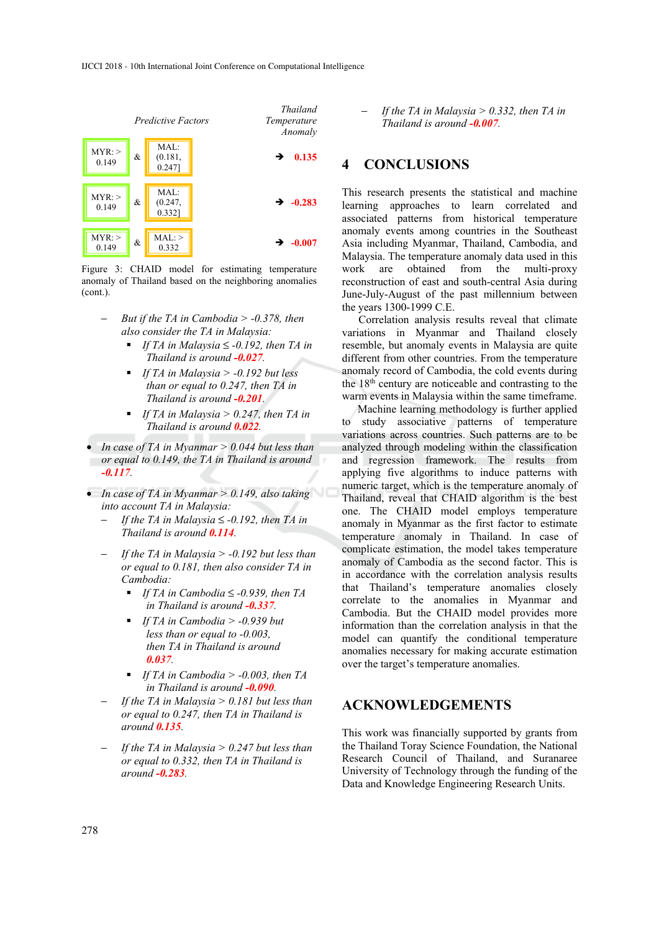

Figure 3: CHAID model for estimating temperature anomaly of Thailand based on the neighboring anomalies (cont.).

- − *But if the TA in Cambodia > -0.378, then also consider the TA in Malaysia:* 
	- *If TA in Malaysia* ≤ *-0.192, then TA in Thailand is around -0.027.*
	- *If TA in Malaysia > -0.192 but less than or equal to 0.247, then TA in Thailand is around -0.201.*
	- *If TA in Malaysia > 0.247, then TA in Thailand is around 0.022.*
- *In case of TA in Myanmar > 0.044 but less than or equal to 0.149, the TA in Thailand is around -0.117.*
- *In case of TA in Myanmar > 0.149, also taking into account TA in Malaysia:* 
	- − *If the TA in Malaysia* ≤ *-0.192, then TA in Thailand is around 0.114.*
	- *If the TA in Malaysia > -0.192 but less than or equal to 0.181, then also consider TA in Cambodia:* 
		- *If TA in Cambodia* ≤ *-0.939, then TA in Thailand is around -0.337.*
		- *If TA in Cambodia > -0.939 but less than or equal to -0.003, then TA in Thailand is around 0.037.*
		- *If TA in Cambodia > -0.003, then TA in Thailand is around -0.090.*
	- − *If the TA in Malaysia > 0.181 but less than or equal to 0.247, then TA in Thailand is around 0.135.*
	- − *If the TA in Malaysia > 0.247 but less than or equal to 0.332, then TA in Thailand is around -0.283.*

- If the TA in Malaysia 
$$
> 0.332
$$
, then TA in  
Thailand is around  $-\frac{0.007}{1.007}$ .

# **4 CONCLUSIONS**

This research presents the statistical and machine learning approaches to learn correlated and associated patterns from historical temperature anomaly events among countries in the Southeast Asia including Myanmar, Thailand, Cambodia, and Malaysia. The temperature anomaly data used in this work are obtained from the multi-proxy reconstruction of east and south-central Asia during June-July-August of the past millennium between the years 1300-1999 C.E.

Correlation analysis results reveal that climate variations in Myanmar and Thailand closely resemble, but anomaly events in Malaysia are quite different from other countries. From the temperature anomaly record of Cambodia, the cold events during the 18th century are noticeable and contrasting to the warm events in Malaysia within the same timeframe.

Machine learning methodology is further applied to study associative patterns of temperature variations across countries. Such patterns are to be analyzed through modeling within the classification and regression framework. The results from applying five algorithms to induce patterns with numeric target, which is the temperature anomaly of Thailand, reveal that CHAID algorithm is the best one. The CHAID model employs temperature anomaly in Myanmar as the first factor to estimate temperature anomaly in Thailand. In case of complicate estimation, the model takes temperature anomaly of Cambodia as the second factor. This is in accordance with the correlation analysis results that Thailand's temperature anomalies closely correlate to the anomalies in Myanmar and Cambodia. But the CHAID model provides more information than the correlation analysis in that the model can quantify the conditional temperature anomalies necessary for making accurate estimation over the target's temperature anomalies.

# **ACKNOWLEDGEMENTS**

This work was financially supported by grants from the Thailand Toray Science Foundation, the National Research Council of Thailand, and Suranaree University of Technology through the funding of the Data and Knowledge Engineering Research Units.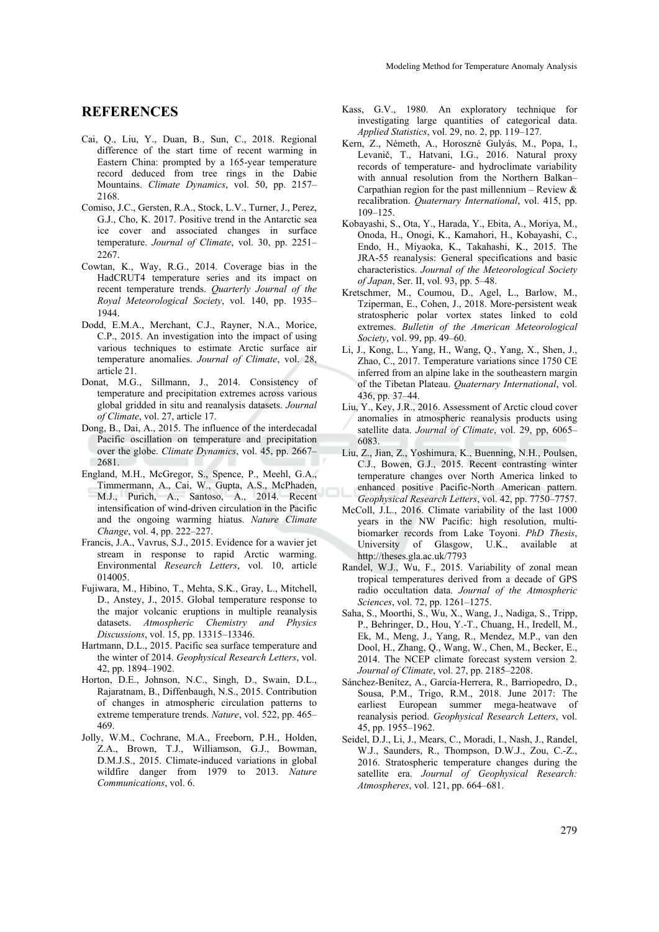### **REFERENCES**

- Cai, Q., Liu, Y., Duan, B., Sun, C., 2018. Regional difference of the start time of recent warming in Eastern China: prompted by a 165-year temperature record deduced from tree rings in the Dabie Mountains. *Climate Dynamics*, vol. 50, pp. 2157– 2168.
- Comiso, J.C., Gersten, R.A., Stock, L.V., Turner, J., Perez, G.J., Cho, K. 2017. Positive trend in the Antarctic sea ice cover and associated changes in surface temperature. *Journal of Climate*, vol. 30, pp. 2251– 2267.
- Cowtan, K., Way, R.G., 2014. Coverage bias in the HadCRUT4 temperature series and its impact on recent temperature trends. *Quarterly Journal of the Royal Meteorological Society*, vol. 140, pp. 1935– 1944.
- Dodd, E.M.A., Merchant, C.J., Rayner, N.A., Morice, C.P., 2015. An investigation into the impact of using various techniques to estimate Arctic surface air temperature anomalies. *Journal of Climate*, vol. 28, article 21.
- Donat, M.G., Sillmann, J., 2014. Consistency of temperature and precipitation extremes across various global gridded in situ and reanalysis datasets. *Journal of Climate*, vol. 27, article 17.
- Dong, B., Dai, A., 2015. The influence of the interdecadal Pacific oscillation on temperature and precipitation over the globe. *Climate Dynamics*, vol. 45, pp. 2667– 2681.
- England, M.H., McGregor, S., Spence, P., Meehl, G.A., Timmermann, A., Cai, W., Gupta, A.S., McPhaden, M.J., Purich, A., Santoso, A., 2014. Recent intensification of wind-driven circulation in the Pacific and the ongoing warming hiatus. *Nature Climate Change*, vol. 4, pp. 222–227.
- Francis, J.A., Vavrus, S.J., 2015. Evidence for a wavier jet stream in response to rapid Arctic warming. Environmental *Research Letters*, vol. 10, article 014005.
- Fujiwara, M., Hibino, T., Mehta, S.K., Gray, L., Mitchell, D., Anstey, J., 2015. Global temperature response to the major volcanic eruptions in multiple reanalysis datasets. *Atmospheric Chemistry and Physics Discussions*, vol. 15, pp. 13315–13346.
- Hartmann, D.L., 2015. Pacific sea surface temperature and the winter of 2014. *Geophysical Research Letters*, vol. 42, pp. 1894–1902.
- Horton, D.E., Johnson, N.C., Singh, D., Swain, D.L., Rajaratnam, B., Diffenbaugh, N.S., 2015. Contribution of changes in atmospheric circulation patterns to extreme temperature trends. *Nature*, vol. 522, pp. 465– 469.
- Jolly, W.M., Cochrane, M.A., Freeborn, P.H., Holden, Z.A., Brown, T.J., Williamson, G.J., Bowman, D.M.J.S., 2015. Climate-induced variations in global wildfire danger from 1979 to 2013. *Nature Communications*, vol. 6.
- Kass, G.V., 1980. An exploratory technique for investigating large quantities of categorical data. *Applied Statistics*, vol. 29, no. 2, pp. 119–127.
- Kern, Z., Németh, A., Horoszné Gulyás, M., Popa, I., Levanič, T., Hatvani, I.G., 2016. Natural proxy records of temperature- and hydroclimate variability with annual resolution from the Northern Balkan– Carpathian region for the past millennium – Review  $\&$ recalibration. *Quaternary International*, vol. 415, pp. 109–125.
- Kobayashi, S., Ota, Y., Harada, Y., Ebita, A., Moriya, M., Onoda, H., Onogi, K., Kamahori, H., Kobayashi, C., Endo, H., Miyaoka, K., Takahashi, K., 2015. The JRA-55 reanalysis: General specifications and basic characteristics. *Journal of the Meteorological Society of Japan*, Ser. II, vol. 93, pp. 5–48.
- Kretschmer, M., Coumou, D., Agel, L., Barlow, M., Tziperman, E., Cohen, J., 2018. More-persistent weak stratospheric polar vortex states linked to cold extremes. *Bulletin of the American Meteorological Society*, vol. 99, pp. 49–60.
- Li, J., Kong, L., Yang, H., Wang, Q., Yang, X., Shen, J., Zhao, C., 2017. Temperature variations since 1750 CE inferred from an alpine lake in the southeastern margin of the Tibetan Plateau. *Quaternary International*, vol. 436, pp. 37–44.
- Liu, Y., Key, J.R., 2016. Assessment of Arctic cloud cover anomalies in atmospheric reanalysis products using satellite data. *Journal of Climate*, vol. 29, pp, 6065– 6083.
- Liu, Z., Jian, Z., Yoshimura, K., Buenning, N.H., Poulsen, C.J., Bowen, G.J., 2015. Recent contrasting winter temperature changes over North America linked to enhanced positive Pacific-North American pattern. *Geophysical Research Letters*, vol. 42, pp. 7750–7757.
- McColl, J.L., 2016. Climate variability of the last 1000 years in the NW Pacific: high resolution, multibiomarker records from Lake Toyoni. *PhD Thesis*, University of Glasgow, U.K., available at http://theses.gla.ac.uk/7793
- Randel, W.J., Wu, F., 2015. Variability of zonal mean tropical temperatures derived from a decade of GPS radio occultation data. *Journal of the Atmospheric Sciences*, vol. 72, pp. 1261–1275.
- Saha, S., Moorthi, S., Wu, X., Wang, J., Nadiga, S., Tripp, P., Behringer, D., Hou, Y.-T., Chuang, H., Iredell, M., Ek, M., Meng, J., Yang, R., Mendez, M.P., van den Dool, H., Zhang, Q., Wang, W., Chen, M., Becker, E., 2014. The NCEP climate forecast system version 2. *Journal of Climate*, vol. 27, pp. 2185–2208.
- Sánchez-Benítez, A., García-Herrera, R., Barriopedro, D., Sousa, P.M., Trigo, R.M., 2018. June 2017: The earliest European summer mega-heatwave of reanalysis period. *Geophysical Research Letters*, vol. 45, pp. 1955–1962.
- Seidel, D.J., Li, J., Mears, C., Moradi, I., Nash, J., Randel, W.J., Saunders, R., Thompson, D.W.J., Zou, C.-Z., 2016. Stratospheric temperature changes during the satellite era. *Journal of Geophysical Research: Atmospheres*, vol. 121, pp. 664–681.